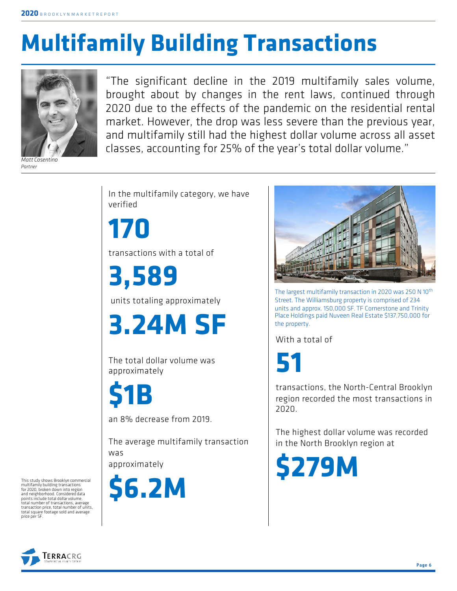# **Multifamily Building Transactions**



*Matt Cosentino Partner*

"The significant decline in the 2019 multifamily sales volume, brought about by changes in the rent laws, continued through 2020 due to the effects of the pandemic on the residential rental market. However, the drop was less severe than the previous year, and multifamily still had the highest dollar volume across all asset classes, accounting for 25% of the year's total dollar volume."

In the multifamily category, we have verified

**170** transactions with a total of

**3,589**

units totaling approximately

**3.24M SF**

The total dollar volume was approximately

**\$1B**

an 8% decrease from 2019.

The average multifamily transaction was approximately

**\$6.2M**



The largest multifamily transaction in 2020 was 250 N 10<sup>th</sup> Street. The Williamsburg property is comprised of 234 units and approx. 150,000 SF. TF Cornerstone and Trinity Place Holdings paid Nuveen Real Estate \$137,750,000 for the property.

With a total of

**51**

transactions, the North-Central Brooklyn region recorded the most transactions in 2020.

The highest dollar volume was recorded in the North Brooklyn region at

**\$279M**

This study shows Brooklyn commercial multifamily building transactions for 2020, broken down into region and neighborhood. Considered data points include total dollar volume, total number of transactions, average transaction price, total number of units, total square footage sold and average price per SF.

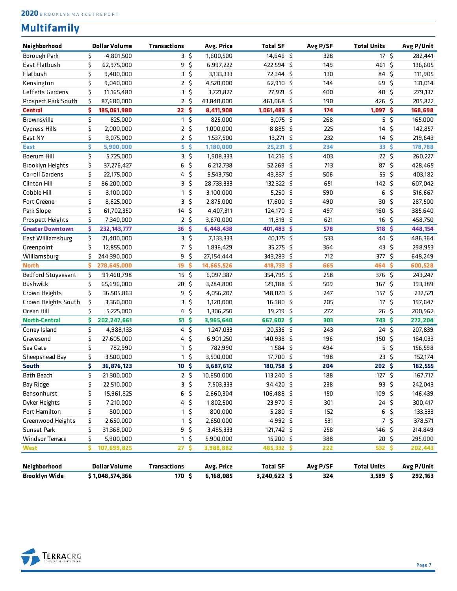### **Multifamily**

| Neighborhood            | <b>Dollar Volume</b> | <b>Transactions</b> |                  |             | Avg. Price | <b>Total SF</b> | Avg P/SF | <b>Total Units</b> |             | Avg P/Unit |
|-------------------------|----------------------|---------------------|------------------|-------------|------------|-----------------|----------|--------------------|-------------|------------|
| Borough Park            | \$<br>4,801,500      |                     |                  | 3\$         | 1,600,500  | 14,646 \$       | 328      | 17 <sup>5</sup>    |             | 282,441    |
| East Flatbush           | \$<br>62,975,000     |                     | 9                | $\varsigma$ | 6,997,222  | 422,594 \$      | 149      | 461 \$             |             | 136,605    |
| Flatbush                | \$<br>9,400,000      |                     | $3\sqrt{5}$      |             | 3,133,333  | 72,344 \$       | 130      | 84 \$              |             | 111,905    |
| Kensington              | \$<br>9,040,000      |                     | 2 <sup>5</sup>   |             | 4,520,000  | 62,910 \$       | 144      | 69                 | - \$        | 131,014    |
| Lefferts Gardens        | \$<br>11,165,480     |                     | $3\sqrt{5}$      |             | 3,721,827  | 27,921 \$       | 400      | 40                 | - \$        | 279,137    |
| Prospect Park South     | \$<br>87,680,000     |                     | $2 \frac{2}{7}$  |             | 43,840,000 | 461,068 \$      | 190      | 426                | -\$         | 205,822    |
| <b>Central</b>          | \$<br>185,061,980    |                     | 22 <sup>5</sup>  |             | 8,411,908  | 1,061,483 \$    | 174      | $1,097$ \$         |             | 168,698    |
| Brownsville             | \$<br>825,000        |                     | $1\sqrt{5}$      |             | 825,000    | $3,075$ \$      | 268      |                    | $5\sqrt{5}$ | 165,000    |
| <b>Cypress Hills</b>    | \$<br>2,000,000      |                     | 2 <sup>5</sup>   |             | 1,000,000  | $8,885$ \$      | 225      | 14                 | -\$         | 142,857    |
| East NY                 | \$<br>3,075,000      |                     | 2 <sup>5</sup>   |             | 1,537,500  | 13,271 \$       | 232      | $14 \frac{1}{2}$   |             | 219,643    |
| <b>East</b>             | \$<br>5,900,000      |                     |                  | $5\sqrt{5}$ | 1,180,000  | 25,231 \$       | 234      | 33 <sub>5</sub>    |             | 178,788    |
| Boerum Hill             | \$<br>5,725,000      |                     |                  | 35          | 1,908,333  | $14,216$ \$     | 403      | $22 \frac{2}{3}$   |             | 260,227    |
| Brooklyn Heights        | \$<br>37,276,427     |                     | 6                | \$          | 6,212,738  | 52,269 \$       | 713      | 87 \$              |             | 428,465    |
| <b>Carroll Gardens</b>  | \$<br>22,175,000     |                     | $4\frac{1}{2}$   |             | 5,543,750  | 43,837 \$       | 506      | $55 \;$ \$         |             | 403,182    |
| <b>Clinton Hill</b>     | \$<br>86,200,000     |                     | 35               |             | 28,733,333 | 132,322 \$      | 651      | 142, 5             |             | 607,042    |
| Cobble Hill             | \$<br>3,100,000      |                     | $\mathbf{1}$     | \$          | 3,100,000  | $5,250$ \$      | 590      | 6                  | \$          | 516,667    |
| <b>Fort Greene</b>      | \$<br>8,625,000      |                     | 35               |             | 2,875,000  | 17,600 \$       | 490      | 30                 | \$          | 287,500    |
| Park Slope              | \$<br>61,702,350     |                     | $14 \frac{1}{2}$ |             | 4,407,311  | 124,170 \$      | 497      | 160 \$             |             | 385,640    |
| Prospect Heights        | \$<br>7,340,000      |                     | 2 <sup>5</sup>   |             | 3,670,000  | 11,819 \$       | 621      | 16                 | $\varsigma$ | 458,750    |
| <b>Greater Downtown</b> | \$<br>232, 143, 777  |                     | $36 \frac{1}{2}$ |             | 6,448,438  | 401,483 \$      | 578      | 518                | -\$         | 448,154    |
| East Williamsburg       | \$<br>21,400,000     |                     | 35               |             | 7,133,333  | 40,175 \$       | 533      | 44 \$              |             | 486,364    |
| Greenpoint              | \$<br>12,855,000     |                     | 7 <sup>5</sup>   |             | 1,836,429  | 35,275 \$       | 364      | 43 \$              |             | 298,953    |
| Williamsburg            | \$<br>244,390,000    |                     | 9                | \$          | 27,154,444 | 343,283 \$      | 712      | 377 \$             |             | 648,249    |
| <b>North</b>            | \$<br>278,645,000    |                     | 19               | \$          | 14,665,526 | 418,733 \$      | 665      | 464                | -\$         | 600,528    |
| Bedford Stuyvesant      | \$<br>91,460,798     |                     | $15 \frac{2}{3}$ |             | 6,097,387  | 354,795 \$      | 258      | 376 \$             |             | 243,247    |
| <b>Bushwick</b>         | \$<br>65,696,000     |                     | $20 \frac{2}{3}$ |             | 3,284,800  | 129,188 \$      | 509      | 167 <sup>5</sup>   |             | 393,389    |
| Crown Heights           | \$<br>36,505,863     |                     | 9                | \$          | 4,056,207  | 148,020 \$      | 247      | 157 <sup>5</sup>   |             | 232,521    |
| Crown Heights South     | \$<br>3,360,000      |                     | 35               |             | 1,120,000  | 16,380 \$       | 205      | $17\frac{2}{7}$    |             | 197,647    |
| Ocean Hill              | \$<br>5,225,000      |                     | $4\frac{2}{3}$   |             | 1,306,250  | 19,219 \$       | 272      | 26                 | - \$        | 200,962    |
| <b>North-Central</b>    | \$<br>202,247,661    |                     | 51 <sup>5</sup>  |             | 3,965,640  | 667,602 \$      | 303      | 743\$              |             | 272,204    |
| Coney Island            | \$<br>4,988,133      |                     | $4\,$ \$         |             | 1,247,033  | 20,536 \$       | 243      | 24 <sup>5</sup>    |             | 207,839    |
| Gravesend               | \$<br>27,605,000     |                     | 4                | \$          | 6,901,250  | 140,938 \$      | 196      | 150                | - \$        | 184,033    |
| Sea Gate                | \$<br>782,990        |                     | 1                | \$          | 782,990    | $1,584$ \$      | 494      | 5                  | \$          | 156,598    |
| Sheepshead Bay          | \$<br>3,500,000      |                     | 1                | \$          | 3,500,000  | 17,700 \$       | 198      | $23 \; \zeta$      |             | 152,174    |
| <b>South</b>            | \$<br>36,876,123     |                     | 10 <sup>5</sup>  |             | 3,687,612  | 180,758 \$      | 204      | 202 <sup>5</sup>   |             | 182,555    |
| Bath Beach              | \$<br>21,300,000     |                     | 2 <sup>5</sup>   |             | 10,650,000 | 113,240 \$      | 188      | $127$ \$           |             | 167,717    |
| Bay Ridge               | \$<br>22,510,000     |                     |                  | 3\$         | 7,503,333  | 94,420 \$       | 238      | 93 \$              |             | 242,043    |
| Bensonhurst             | \$<br>15,961,825     |                     | $6\sqrt{5}$      |             | 2,660,304  | 106,488 \$      | 150      | 109 \$             |             | 146,439    |
| Dyker Heights           | \$<br>7,210,000      |                     | $4\frac{1}{2}$   |             | 1,802,500  | 23,970 \$       | 301      | $24 \;$ \$         |             | 300,417    |
| Fort Hamilton           | \$<br>800,000        |                     |                  | $1\,$ \$    | 800,000    | 5,280 \$        | 152      | 6\$                |             | 133,333    |
| Greenwood Heights       | \$<br>2,650,000      |                     |                  | $1\sqrt{5}$ | 2,650,000  | 4,992 \$        | 531      | 7 <sup>5</sup>     |             | 378,571    |
| Sunset Park             | \$<br>31,368,000     |                     | 9\$              |             | 3,485,333  | 121,742 \$      | 258      | 146 \$             |             | 214,849    |
| <b>Windsor Terrace</b>  | \$<br>5,900,000      |                     |                  | $1\,$ \$    | 5,900,000  | 15,200 \$       | 388      | $20 \frac{2}{3}$   |             | 295,000    |
| <b>West</b>             | \$<br>107,699,825    |                     | 27 <sub>5</sub>  |             | 3,988,882  | 485,332 \$      | 222      | 532 \$             |             | 202,443    |
|                         |                      |                     |                  |             |            |                 |          |                    |             |            |
| Neighborhood            | <b>Dollar Volume</b> | <b>Transactions</b> |                  |             | Avg. Price | <b>Total SF</b> | Avg P/SF | <b>Total Units</b> |             | Avg P/Unit |
| <b>Brooklyn Wide</b>    | \$1,048,574,366      |                     | 170, 5           |             | 6,168,085  | 3,240,622 \$    | 324      | $3,589$ \$         |             | 292,163    |